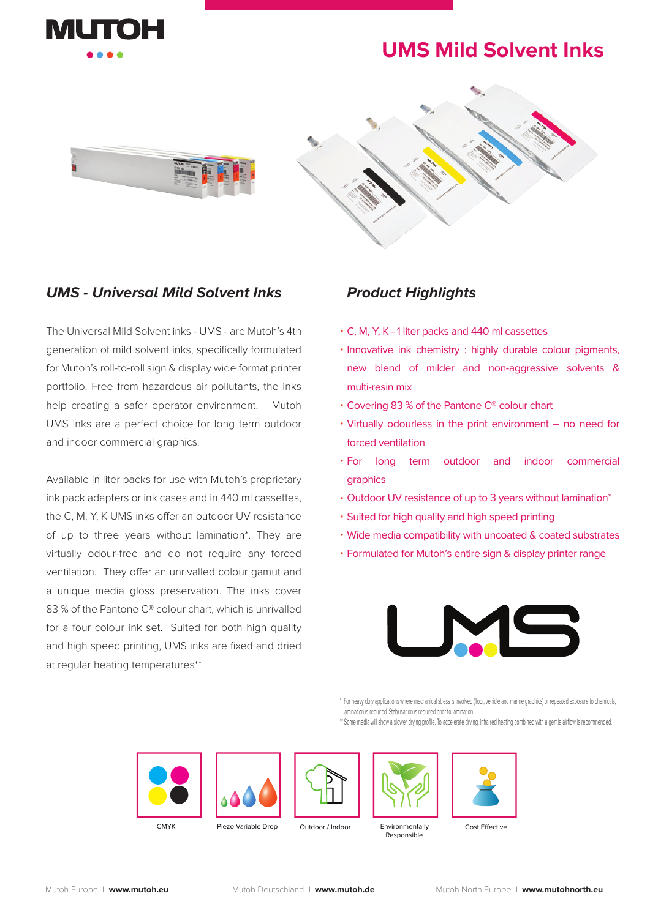

## **UMS Mild Solvent Inks**





The Universal Mild Solvent inks - UMS - are Mutoh's 4th generation of mild solvent inks, specifically formulated for Mutoh's roll-to-roll sign & display wide format printer portfolio. Free from hazardous air pollutants, the inks help creating a safer operator environment. Mutoh UMS inks are a perfect choice for long term outdoor and indoor commercial graphics.

Available in liter packs for use with Mutoh's proprietary ink pack adapters or ink cases and in 440 ml cassettes, the C, M, Y, K UMS inks offer an outdoor UV resistance of up to three years without lamination\*. They are virtually odour-free and do not require any forced ventilation. They offer an unrivalled colour gamut and a unique media gloss preservation. The inks cover 83 % of the Pantone C® colour chart, which is unrivalled for a four colour ink set. Suited for both high quality and high speed printing, UMS inks are fixed and dried at regular heating temperatures\*\*.

## **Product Highlights**

- C, M, Y, K 1 liter packs and 440 ml cassettes •
- · Innovative ink chemistry : highly durable colour pigments, new blend of milder and non-aggressive solvents & multi-resin mix
- Covering 83 % of the Pantone C® colour chart
- Virtually odourless in the print environment no need for forced ventilation
- term outdoor and indoor commercial graphics • For long
- Outdoor UV resistance of up to 3 years without lamination\*
- Suited for high quality and high speed printing
- Wide media compatibility with uncoated & coated substrates
- Formulated for Mutoh's entire sign & display printer range •



\* For heavy duty applications where mechanical stress is involved (floor, vehicle and marine graphics) or repeated exposure to chemicals, lamination is required. Stabilisation is required prior to lamination.

\*\* Some media will show a slower drying profile. To accelerate drying, infra red heating combined with a gentle airflow is recommended.









Outdoor / Indoor Environmentally CMYK Piezo Variable Drop Outdoor / Indoor Finvironmentally Cost Effective



Responsible